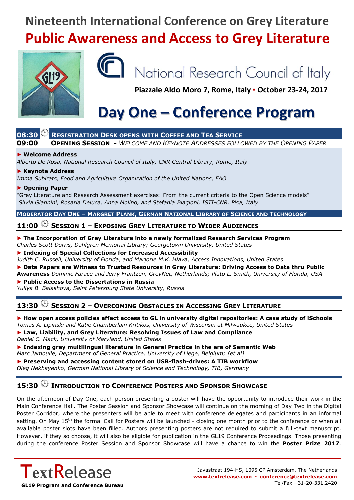### **Nineteenth International Conference on Grey Literature Public Awareness and Access to Grey Literature**





# National Research Council of Italy

**Piazzale Aldo Moro 7, Rome, Italy ▪ October 23-24, 2017**

# **Day One – Conference Program**

### **08:30 REGISTRATION DESK OPENS WITH COFFEE AND TEA SERVICE**

**09:00 OPENING SESSION -** *WELCOME AND KEYNOTE ADDRESSES FOLLOWED BY THE OPENING PAPER*

#### **► Welcome Address**

*Alberto De Rosa, National Research Council of Italy, CNR Central Library, Rome, Italy*

#### **► Keynote Address**

*Imma Subirats, Food and Agriculture Organization of the United Nations, FAO*

#### **► Opening Paper**

"Grey Literature and Research Assessment exercises: From the current criteria to the Open Science models" *Silvia Giannini, Rosaria Deluca, Anna Molino, and Stefania Biagioni, ISTI-CNR, Pisa, Italy*

**MODERATOR DAY ONE - MARGRET PLANK, GERMAN NATIONAL LIBRARY OF SCIENCE AND TECHNOLOGY** 

### **11:00 SESSION 1 – EXPOSING GREY LITERATURE TO WIDER AUDIENCES**

#### **► The Incorporation of Grey Literature into a newly formalized Research Services Program**

*Charles Scott Dorris, Dahlgren Memorial Library; Georgetown University, United States*

**► Indexing of Special Collections for Increased Accessibility**

*Judith C. Russell, University of Florida, and Marjorie M.K. Hlava, Access Innovations, United States*

**► Data Papers are Witness to Trusted Resources in Grey Literature: Driving Access to Data thru Public Awareness** *Dominic Farace and Jerry Frantzen, GreyNet, Netherlands; Plato L. Smith, University of Florida, USA*

**► Public Access to the Dissertations in Russia**

*Yuliya B. Balashova, Saint Petersburg State University, Russia*

#### **13:30 SESSION 2 – OVERCOMING OBSTACLES IN ACCESSING GREY LITERATURE**

#### **► How open access policies affect access to GL in university digital repositories: A case study of iSchools**

*Tomas A. Lipinski and Katie Chamberlain Kritikos, University of Wisconsin at Milwaukee, United States* **► Law, Liability, and Grey Literature: Resolving Issues of Law and Compliance** *Daniel C. Mack, University of Maryland, United States*

**► Indexing grey multilingual literature in General Practice in the era of Semantic Web** *Marc Jamoulle, Department of General Practice, University of Liège, Belgium; [et al]*

**► Preserving and accessing content stored on USB-flash-drives: A TIB workflow** *Oleg Nekhayenko, German National Library of Science and Technology, TIB, Germany*

#### **15:30 INTRODUCTION TO CONFERENCE POSTERS AND SPONSOR SHOWCASE**

On the afternoon of Day One, each person presenting a poster will have the opportunity to introduce their work in the Main Conference Hall. The Poster Session and Sponsor Showcase will continue on the morning of Day Two in the Digital Poster Corridor, where the presenters will be able to meet with conference delegates and participants in an informal setting. On May 15<sup>th</sup> the formal Call for Posters will be launched - closing one month prior to the conference or when all available poster slots have been filled. Authors presenting posters are not required to submit a full-text manuscript. However, if they so choose, it will also be eligible for publication in the GL19 Conference Proceedings. Those presenting during the conference Poster Session and Sponsor Showcase will have a chance to win the **Poster Prize 2017**.